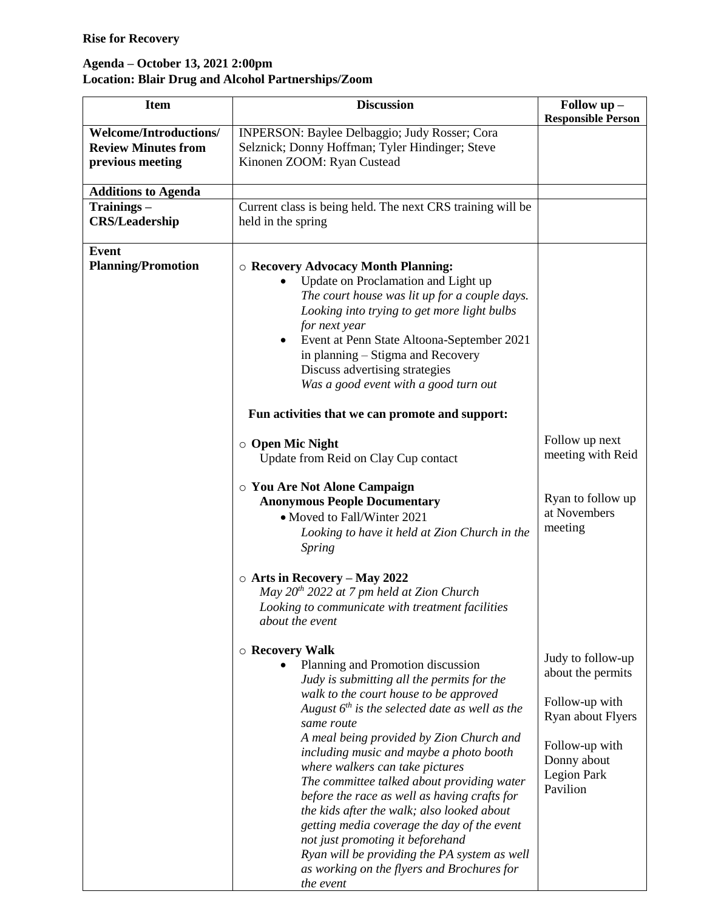## **Agenda – October 13, 2021 2:00pm Location: Blair Drug and Alcohol Partnerships/Zoom**

| <b>Item</b>                                                                     | <b>Discussion</b>                                                                                                                                                                                                                                                                                                                                                                                                                                                                                                                                                                                                                                                                           | Follow up -                                                                                                                               |
|---------------------------------------------------------------------------------|---------------------------------------------------------------------------------------------------------------------------------------------------------------------------------------------------------------------------------------------------------------------------------------------------------------------------------------------------------------------------------------------------------------------------------------------------------------------------------------------------------------------------------------------------------------------------------------------------------------------------------------------------------------------------------------------|-------------------------------------------------------------------------------------------------------------------------------------------|
| <b>Welcome/Introductions/</b><br><b>Review Minutes from</b><br>previous meeting | INPERSON: Baylee Delbaggio; Judy Rosser; Cora<br>Selznick; Donny Hoffman; Tyler Hindinger; Steve<br>Kinonen ZOOM: Ryan Custead                                                                                                                                                                                                                                                                                                                                                                                                                                                                                                                                                              | <b>Responsible Person</b>                                                                                                                 |
| <b>Additions to Agenda</b>                                                      |                                                                                                                                                                                                                                                                                                                                                                                                                                                                                                                                                                                                                                                                                             |                                                                                                                                           |
| Trainings-<br><b>CRS/Leadership</b>                                             | Current class is being held. The next CRS training will be<br>held in the spring                                                                                                                                                                                                                                                                                                                                                                                                                                                                                                                                                                                                            |                                                                                                                                           |
| <b>Event</b><br><b>Planning/Promotion</b>                                       | <b>O Recovery Advocacy Month Planning:</b><br>Update on Proclamation and Light up<br>The court house was lit up for a couple days.<br>Looking into trying to get more light bulbs<br>for next year<br>Event at Penn State Altoona-September 2021<br>$\bullet$<br>in planning – Stigma and Recovery<br>Discuss advertising strategies<br>Was a good event with a good turn out<br>Fun activities that we can promote and support:                                                                                                                                                                                                                                                            |                                                                                                                                           |
|                                                                                 | $\circ$ Open Mic Night<br>Update from Reid on Clay Cup contact<br>○ You Are Not Alone Campaign<br><b>Anonymous People Documentary</b><br>• Moved to Fall/Winter 2021<br>Looking to have it held at Zion Church in the<br><b>Spring</b><br>$\circ$ Arts in Recovery – May 2022<br>May 20 <sup>th</sup> 2022 at 7 pm held at Zion Church<br>Looking to communicate with treatment facilities<br>about the event                                                                                                                                                                                                                                                                               | Follow up next<br>meeting with Reid<br>Ryan to follow up<br>at Novembers<br>meeting                                                       |
|                                                                                 | $\circ$ Recovery Walk<br>Planning and Promotion discussion<br>Judy is submitting all the permits for the<br>walk to the court house to be approved<br>August $6^{th}$ is the selected date as well as the<br>same route<br>A meal being provided by Zion Church and<br>including music and maybe a photo booth<br>where walkers can take pictures<br>The committee talked about providing water<br>before the race as well as having crafts for<br>the kids after the walk; also looked about<br>getting media coverage the day of the event<br>not just promoting it beforehand<br>Ryan will be providing the PA system as well<br>as working on the flyers and Brochures for<br>the event | Judy to follow-up<br>about the permits<br>Follow-up with<br>Ryan about Flyers<br>Follow-up with<br>Donny about<br>Legion Park<br>Pavilion |